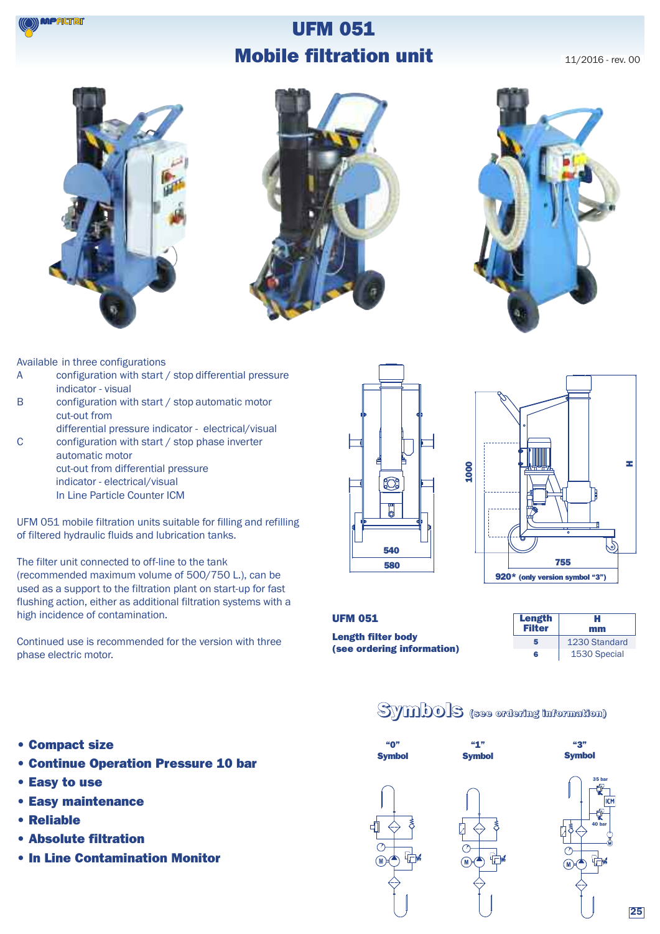

### **UFM 051 Mobile filtration unit**

11/2016 - rev. 00







Available in three configurations

- A configuration with start / stop differential pressure indicator - visual
- B configuration with start / stop automatic motor cut-out from
- differential pressure indicator electrical/visual C configuration with start / stop phase inverter
- automatic motor cut-out from differential pressure indicator - electrical/visual In Line Particle Counter ICM

UFM 051 mobile filtration units suitable for filling and refilling of filtered hydraulic fluids and lubrication tanks.

The filter unit connected to off-line to the tank (recommended maximum volume of 500/750 L.), can be used as a support to the filtration plant on start-up for fast flushing action, either as additional filtration systems with a high incidence of contamination.

Continued use is recommended for the version with three phase electric motor.





#### **UFM 051**

**Length filter body (see ordering information)**

| <b>Length</b><br><b>Filter</b> | н<br>mm       |
|--------------------------------|---------------|
| 5                              | 1230 Standard |
| R                              | 1530 Special  |

### **Symbols (see ordering information)**

- **• Compact size**
- **• Continue Operation Pressure 10 bar**
- **• Easy to use**
- **• Easy maintenance**
- **• Reliable**
- **• Absolute filtration**
- **• In Line Contamination Monitor**





**40 bar**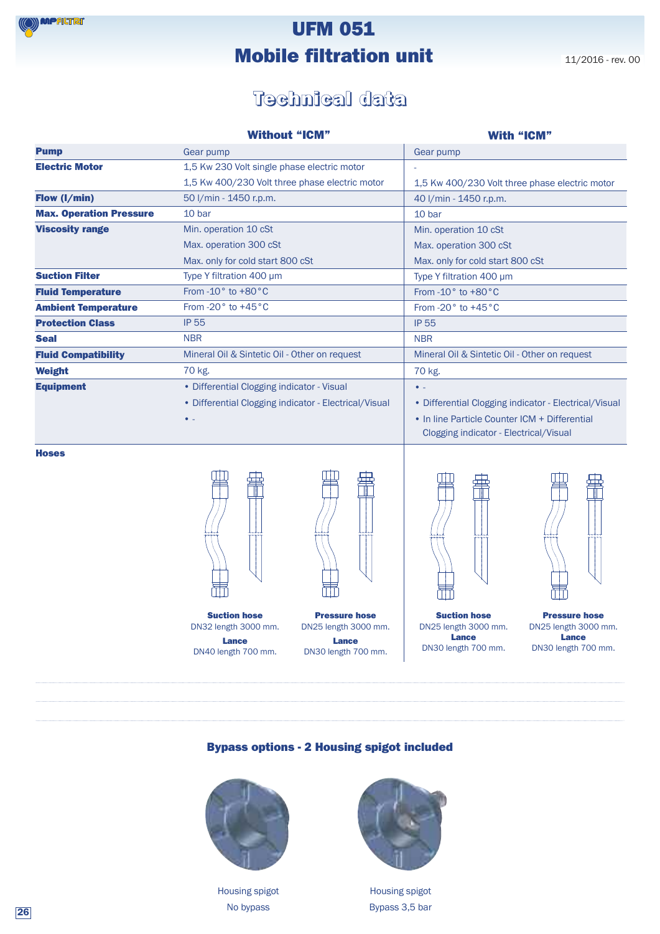# **UFM 051 Mobile filtration unit** 11/2016 - rev. 00

### **Technical data**

|                                | <b>Without "ICM"</b>                                  | <b>With "ICM"</b>                                                                       |
|--------------------------------|-------------------------------------------------------|-----------------------------------------------------------------------------------------|
| <b>Pump</b>                    | Gear pump                                             | Gear pump                                                                               |
| <b>Electric Motor</b>          | 1,5 Kw 230 Volt single phase electric motor           |                                                                                         |
|                                | 1,5 Kw 400/230 Volt three phase electric motor        | 1,5 Kw 400/230 Volt three phase electric motor                                          |
| Flow (I/min)                   | 50 I/min - 1450 r.p.m.                                | 40 I/min - 1450 r.p.m.                                                                  |
| <b>Max. Operation Pressure</b> | 10 bar                                                | 10 bar                                                                                  |
| <b>Viscosity range</b>         | Min. operation 10 cSt                                 | Min. operation 10 cSt                                                                   |
|                                | Max. operation 300 cSt                                | Max. operation 300 cSt                                                                  |
|                                | Max. only for cold start 800 cSt                      | Max. only for cold start 800 cSt                                                        |
| <b>Suction Filter</b>          | Type Y filtration 400 µm                              | Type Y filtration 400 µm                                                                |
| <b>Fluid Temperature</b>       | From $-10^{\circ}$ to $+80^{\circ}$ C                 | From $-10^{\circ}$ to $+80^{\circ}$ C                                                   |
| <b>Ambient Temperature</b>     | From -20 $\degree$ to +45 $\degree$ C                 | From -20 $\degree$ to +45 $\degree$ C                                                   |
| <b>Protection Class</b>        | <b>IP 55</b>                                          | <b>IP 55</b>                                                                            |
| <b>Seal</b>                    | <b>NBR</b>                                            | <b>NBR</b>                                                                              |
| <b>Fluid Compatibility</b>     | Mineral Oil & Sintetic Oil - Other on request         | Mineral Oil & Sintetic Oil - Other on request                                           |
| <b>Weight</b>                  | 70 kg.                                                | 70 kg.                                                                                  |
| <b>Equipment</b>               | • Differential Clogging indicator - Visual            | $\bullet$                                                                               |
|                                | • Differential Clogging indicator - Electrical/Visual | • Differential Clogging indicator - Electrical/Visual                                   |
|                                | $\bullet$ .                                           | • In line Particle Counter ICM + Differential<br>Clogging indicator - Electrical/Visual |

**Hoses**



**Suction hose** DN32 length 3000 mm. **Lance** DN40 length 700 mm.



**Pressure hose** DN25 length 3000 mm. **Lance** DN30 length 700 mm.



**Suction hose** DN25 length 3000 mm. **Lance** DN30 length 700 mm.



**Pressure hose** DN25 length 3000 mm. **Lance** DN30 length 700 mm.

### **Bypass options - 2 Housing spigot included**



Housing spigot No bypass



Housing spigot Bypass 3,5 bar